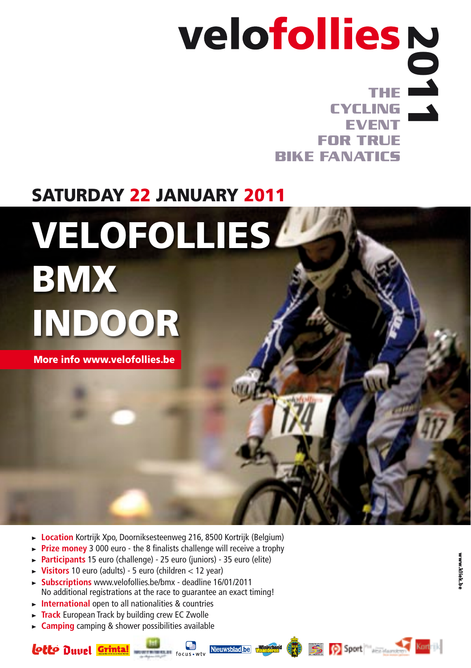## **the cycling event for true bike fanatics** 2011

## saturday 22 JANuarY 2011

# velofollies BMX indoor

More info www.velofollies.be

- ► Location Kortrijk Xpo, Doorniksesteenweg 216, 8500 Kortrijk (Belgium)
- **Prize money** 3 000 euro the 8 finalists challenge will receive a trophy
- > **Participants** 15 euro (challenge) 25 euro (juniors) 35 euro (elite)
- > **Visitors** 10 euro (adults) 5 euro (children < 12 year)
- > **Subscriptions** www.velofollies.be/bmx deadline 16/01/2011 No additional registrations at the race to guarantee an exact timing!
- **International** open to all nationalities & countries
- ► **Track** European Track by building crew EC Zwolle
- > **Camping** camping & shower possibilities available